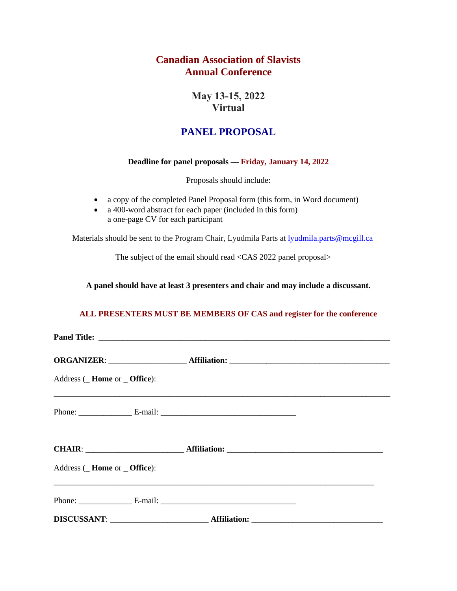## **Canadian Association of Slavists Annual Conference**

**May 13-15, 2022 Virtual** 

# **PANEL PROPOSAL**

#### **Deadline for panel proposals — Friday, January 14, 2022**

Proposals should include:

- a copy of the completed Panel Proposal form (this form, in Word document)
- a 400-word abstract for each paper (included in this form) a one-page CV for each participant

Materials should be sent to the Program Chair, Lyudmila Parts at <u>lyudmila.parts@mcgill.ca</u>

The subject of the email should read <CAS 2022 panel proposal>

**A panel should have at least 3 presenters and chair and may include a discussant.**

#### **ALL PRESENTERS MUST BE MEMBERS OF CAS and register for the conference**

| Address ( <b>Home</b> or <b>Office</b> ): |  |
|-------------------------------------------|--|
|                                           |  |
|                                           |  |
| Address ( <b>Home</b> or <b>Office</b> ): |  |
|                                           |  |
|                                           |  |